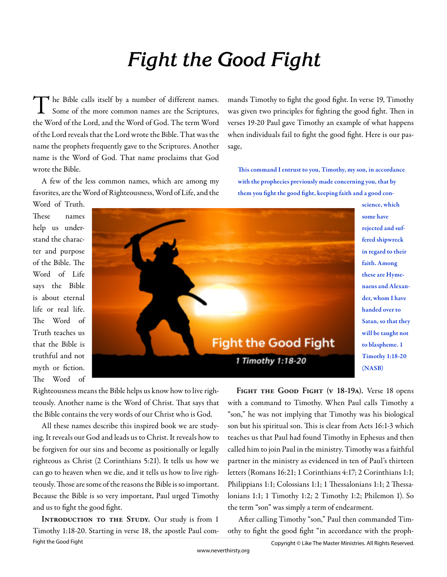# **Fight the Good Fight**

T  $\blacktriangleleft$  he Bible calls itself by a number of different names. Some of the more common names are the Scriptures, the Word of the Lord, and the Word of God. The term Word of the Lord reveals that the Lord wrote the Bible. That was the name the prophets frequently gave to the Scriptures. Another name is the Word of God. That name proclaims that God wrote the Bible.

A few of the less common names, which are among my favorites, are the Word of Righteousness, Word of Life, and the mands Timothy to fight the good fight. In verse 19, Timothy was given two principles for fighting the good fight. Then in verses 19-20 Paul gave Timothy an example of what happens when individuals fail to fight the good fight. Here is our passage,

This command I entrust to you, Timothy, my son, in accordance with the prophecies previously made concerning you, that by them you fight the good fight, keeping faith and a good con-

Word of Truth. These names help us understand the character and purpose of the Bible. The Word of Life says the Bible is about eternal life or real life. The Word of Truth teaches us that the Bible is truthful and not myth or fiction. The Word of



faith. Among these are Hymenaeus and Alexander, whom I have handed over to Satan, so that they will be taught not to blaspheme. 1 Timothy 1:18-20 (NASB)

science, which some have rejected and suffered shipwreck in regard to their

Righteousness means the Bible helps us know how to live righteously. Another name is the Word of Christ. That says that the Bible contains the very words of our Christ who is God.

All these names describe this inspired book we are studying. It reveals our God and leads us to Christ. It reveals how to be forgiven for our sins and become as positionally or legally righteous as Christ (2 Corinthians 5:21). It tells us how we can go to heaven when we die, and it tells us how to live righteously. Those are some of the reasons the Bible is so important. Because the Bible is so very important, Paul urged Timothy and us to fight the good fight.

**INTRODUCTION TO THE STUDY.** Our study is from 1 Timothy 1:18-20. Starting in verse 18, the apostle Paul com-

FIGHT THE GOOD FIGHT (V 18-19A). Verse 18 opens with a command to Timothy. When Paul calls Timothy a "son," he was not implying that Timothy was his biological son but his spiritual son. This is clear from Acts 16:1-3 which teaches us that Paul had found Timothy in Ephesus and then called him to join Paul in the ministry. Timothy was a faithful partner in the ministry as evidenced in ten of Paul's thirteen letters (Romans 16:21; 1 Corinthians 4:17; 2 Corinthians 1:1; Philippians 1:1; Colossians 1:1; 1 Thessalonians 1:1; 2 Thessalonians 1:1; 1 Timothy 1:2; 2 Timothy 1:2; Philemon 1). So the term "son" was simply a term of endearment.

After calling Timothy "son," Paul then commanded Timothy to fight the good fight "in accordance with the proph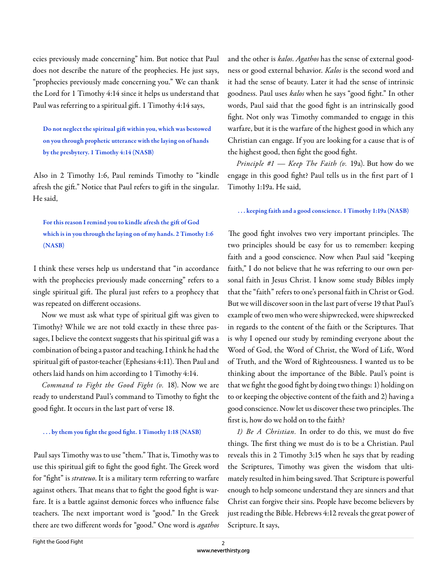ecies previously made concerning" him. But notice that Paul does not describe the nature of the prophecies. He just says, "prophecies previously made concerning you." We can thank the Lord for 1 Timothy 4:14 since it helps us understand that Paul was referring to a spiritual gift . 1 Timothy 4:14 says,

Do not neglect the spiritual gift within you, which was bestowed on you through prophetic utterance with the laying on of hands by the presbytery. 1 Timothy 4:14 (NASB)

Also in 2 Timothy 1:6, Paul reminds Timothy to "kindle afresh the gift." Notice that Paul refers to gift in the singular. He said,

# For this reason I remind you to kindle afresh the gift of God which is in you through the laying on of my hands. 2 Timothy 1:6 (NASB)

I think these verses help us understand that "in accordance with the prophecies previously made concerning" refers to a single spiritual gift. The plural just refers to a prophecy that was repeated on different occasions.

Now we must ask what type of spiritual gift was given to Timothy? While we are not told exactly in these three passages, I believe the context suggests that his spiritual gift was a combination of being a pastor and teaching. I think he had the spiritual gift of pastor-teacher (Ephesians 4:11). Then Paul and others laid hands on him according to 1 Timothy 4:14.

*Command to Fight the Good Fight (v.* 18). Now we are ready to understand Paul's command to Timothy to fight the good fight. It occurs in the last part of verse 18.

## ... by them you fight the good fight. 1 Timothy 1:18 (NASB)

Paul says Timothy was to use "them." That is, Timothy was to use this spiritual gift to fight the good fight. The Greek word for "fight" is *strateuo*. It is a military term referring to warfare against others. That means that to fight the good fight is warfare. It is a battle against demonic forces who influence false teachers. The next important word is "good." In the Greek there are two different words for "good." One word is *agathos*  and the other is *kalos*. *Agathos* has the sense of external goodness or good external behavior. *Kalos* is the second word and it had the sense of beauty. Later it had the sense of intrinsic goodness. Paul uses *kalos* when he says "good fight." In other words, Paul said that the good fight is an intrinsically good fight. Not only was Timothy commanded to engage in this warfare, but it is the warfare of the highest good in which any Christian can engage. If you are looking for a cause that is of the highest good, then fight the good fight.

*Principle #1 — Keep The Faith (v.* 19a). But how do we engage in this good fight? Paul tells us in the first part of 1 Timothy 1:19a. He said,

### . . . keeping faith and a good conscience. 1 Timothy 1:19a (NASB)

The good fight involves two very important principles. The two principles should be easy for us to remember: keeping faith and a good conscience. Now when Paul said "keeping faith," I do not believe that he was referring to our own personal faith in Jesus Christ. I know some study Bibles imply that the "faith" refers to one's personal faith in Christ or God. But we will discover soon in the last part of verse 19 that Paul's example of two men who were shipwrecked, were shipwrecked in regards to the content of the faith or the Scriptures. That is why I opened our study by reminding everyone about the Word of God, the Word of Christ, the Word of Life, Word of Truth, and the Word of Righteousness. I wanted us to be thinking about the importance of the Bible. Paul's point is that we fight the good fight by doing two things: 1) holding on to or keeping the objective content of the faith and 2) having a good conscience. Now let us discover these two principles. The first is, how do we hold on to the faith?

*1) Be A Christian*. In order to do this, we must do five things. The first thing we must do is to be a Christian. Paul reveals this in 2 Timothy 3:15 when he says that by reading the Scriptures, Timothy was given the wisdom that ultimately resulted in him being saved. That Scripture is powerful enough to help someone understand they are sinners and that Christ can forgive their sins. People have become believers by just reading the Bible. Hebrews 4:12 reveals the great power of Scripture. It says,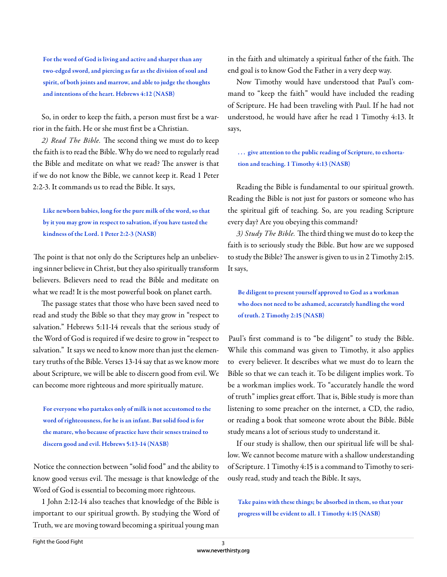For the word of God is living and active and sharper than any two-edged sword, and piercing as far as the division of soul and spirit, of both joints and marrow, and able to judge the thoughts and intentions of the heart. Hebrews 4:12 (NASB)

So, in order to keep the faith, a person must first be a warrior in the faith. He or she must first be a Christian.

2) Read The Bible. The second thing we must do to keep the faith is to read the Bible. Why do we need to regularly read the Bible and meditate on what we read? The answer is that if we do not know the Bible, we cannot keep it. Read 1 Peter 2:2-3. It commands us to read the Bible. It says,

Like newborn babies, long for the pure milk of the word, so that by it you may grow in respect to salvation, if you have tasted the kindness of the Lord. 1 Peter 2:2-3 (NASB)

The point is that not only do the Scriptures help an unbelieving sinner believe in Christ, but they also spiritually transform believers. Believers need to read the Bible and meditate on what we read! It is the most powerful book on planet earth.

The passage states that those who have been saved need to read and study the Bible so that they may grow in "respect to salvation." Hebrews 5:11-14 reveals that the serious study of the Word of God is required if we desire to grow in "respect to salvation." It says we need to know more than just the elementary truths of the Bible. Verses 13-14 say that as we know more about Scripture, we will be able to discern good from evil. We can become more righteous and more spiritually mature.

For everyone who partakes only of milk is not accustomed to the word of righteousness, for he is an infant. But solid food is for the mature, who because of practice have their senses trained to discern good and evil. Hebrews 5:13-14 (NASB)

Notice the connection between "solid food" and the ability to know good versus evil. The message is that knowledge of the Word of God is essential to becoming more righteous.

1 John 2:12-14 also teaches that knowledge of the Bible is important to our spiritual growth. By studying the Word of Truth, we are moving toward becoming a spiritual young man

in the faith and ultimately a spiritual father of the faith. The end goal is to know God the Father in a very deep way.

Now Timothy would have understood that Paul's command to "keep the faith" would have included the reading of Scripture. He had been traveling with Paul. If he had not understood, he would have after he read 1 Timothy 4:13. It says,

... give attention to the public reading of Scripture, to exhortation and teaching. 1 Timothy 4:13 (NASB)

Reading the Bible is fundamental to our spiritual growth. Reading the Bible is not just for pastors or someone who has the spiritual gift of teaching. So, are you reading Scripture every day? Are you obeying this command?

3) Study The Bible. The third thing we must do to keep the faith is to seriously study the Bible. But how are we supposed to study the Bible? The answer is given to us in 2 Timothy 2:15. It says,

Be diligent to present yourself approved to God as a workman who does not need to be ashamed, accurately handling the word of truth. 2 Timothy 2:15 (NASB)

Paul's first command is to "be diligent" to study the Bible. While this command was given to Timothy, it also applies to every believer. It describes what we must do to learn the Bible so that we can teach it. To be diligent implies work. To be a workman implies work. To "accurately handle the word of truth" implies great effort. That is, Bible study is more than listening to some preacher on the internet, a CD, the radio, or reading a book that someone wrote about the Bible. Bible study means a lot of serious study to understand it.

If our study is shallow, then our spiritual life will be shallow. We cannot become mature with a shallow understanding of Scripture. 1 Timothy 4:15 is a command to Timothy to seriously read, study and teach the Bible. It says,

Take pains with these things; be absorbed in them, so that your progress will be evident to all. 1 Timothy 4:15 (NASB)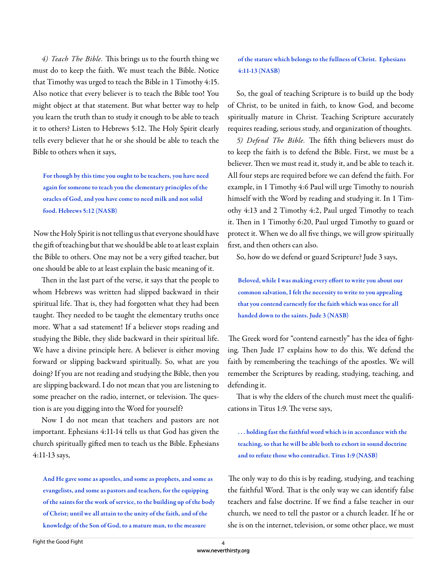4) Teach The Bible. This brings us to the fourth thing we must do to keep the faith. We must teach the Bible. Notice that Timothy was urged to teach the Bible in 1 Timothy 4:15. Also notice that every believer is to teach the Bible too! You might object at that statement. But what better way to help you learn the truth than to study it enough to be able to teach it to others? Listen to Hebrews 5:12. The Holy Spirit clearly tells every believer that he or she should be able to teach the Bible to others when it says,

For though by this time you ought to be teachers, you have need again for someone to teach you the elementary principles of the oracles of God, and you have come to need milk and not solid food. Hebrews 5:12 (NASB)

Now the Holy Spirit is not telling us that everyone should have the gift of teaching but that we should be able to at least explain the Bible to others. One may not be a very gifted teacher, but one should be able to at least explain the basic meaning of it.

Then in the last part of the verse, it says that the people to whom Hebrews was written had slipped backward in their spiritual life. That is, they had forgotten what they had been taught. They needed to be taught the elementary truths once more. What a sad statement! If a believer stops reading and studying the Bible, they slide backward in their spiritual life. We have a divine principle here. A believer is either moving forward or slipping backward spiritually. So, what are you doing? If you are not reading and studying the Bible, then you are slipping backward. I do not mean that you are listening to some preacher on the radio, internet, or television. The question is are you digging into the Word for yourself?

Now I do not mean that teachers and pastors are not important. Ephesians 4:11-14 tells us that God has given the church spiritually gift ed men to teach us the Bible. Ephesians 4:11-13 says,

And He gave some as apostles, and some as prophets, and some as evangelists, and some as pastors and teachers, for the equipping of the saints for the work of service, to the building up of the body of Christ; until we all attain to the unity of the faith, and of the knowledge of the Son of God, to a mature man, to the measure

of the stature which belongs to the fullness of Christ. Ephesians 4:11-13 (NASB)

So, the goal of teaching Scripture is to build up the body of Christ, to be united in faith, to know God, and become spiritually mature in Christ. Teaching Scripture accurately requires reading, serious study, and organization of thoughts.

5) Defend The Bible. The fifth thing believers must do to keep the faith is to defend the Bible. First, we must be a believer. Then we must read it, study it, and be able to teach it. All four steps are required before we can defend the faith. For example, in 1 Timothy 4:6 Paul will urge Timothy to nourish himself with the Word by reading and studying it. In 1 Timothy 4:13 and 2 Timothy 4:2, Paul urged Timothy to teach it. Then in 1 Timothy 6:20, Paul urged Timothy to guard or protect it. When we do all five things, we will grow spiritually first, and then others can also.

So, how do we defend or guard Scripture? Jude 3 says,

Beloved, while I was making every effort to write you about our common salvation, I felt the necessity to write to you appealing that you contend earnestly for the faith which was once for all handed down to the saints. Jude 3 (NASB)

The Greek word for "contend earnestly" has the idea of fighting. Then Jude 17 explains how to do this. We defend the faith by remembering the teachings of the apostles. We will remember the Scriptures by reading, studying, teaching, and defending it.

That is why the elders of the church must meet the qualifications in Titus 1:9. The verse says,

. . . holding fast the faithful word which is in accordance with the teaching, so that he will be able both to exhort in sound doctrine and to refute those who contradict. Titus 1:9 (NASB)

The only way to do this is by reading, studying, and teaching the faithful Word. That is the only way we can identify false teachers and false doctrine. If we find a false teacher in our church, we need to tell the pastor or a church leader. If he or she is on the internet, television, or some other place, we must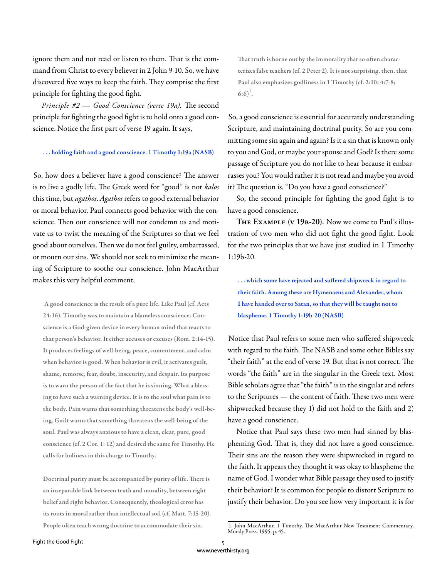ignore them and not read or listen to them. That is the command from Christ to every believer in 2 John 9-10. So, we have discovered five ways to keep the faith. They comprise the first principle for fighting the good fight.

*Principle #2 — Good Conscience (verse 19a)*. The second principle for fighting the good fight is to hold onto a good conscience. Notice the first part of verse 19 again. It says,

#### . . . holding faith and a good conscience. 1 Timothy 1:19a (NASB)

So, how does a believer have a good conscience? The answer is to live a godly life. The Greek word for "good" is not *kalos* this time, but *agathos*. *Agathos* refers to good external behavior or moral behavior. Paul connects good behavior with the conscience. Then our conscience will not condemn us and motivate us to twist the meaning of the Scriptures so that we feel good about ourselves. Then we do not feel guilty, embarrassed, or mourn our sins. We should not seek to minimize the meaning of Scripture to soothe our conscience. John MacArthur makes this very helpful comment,

 A good conscience is the result of a pure life. Like Paul (cf. Acts 24:16), Timothy was to maintain a blameless conscience. Conscience is a God-given device in every human mind that reacts to that person's behavior. It either accuses or excuses (Rom. 2:14-15). It produces feelings of well-being, peace, contentment, and calm when behavior is good. When behavior is evil, it activates guilt, shame, remorse, fear, doubt, insecurity, and despair. Its purpose is to warn the person of the fact that he is sinning. What a blessing to have such a warning device. It is to the soul what pain is to the body. Pain warns that something threatens the body's well-being. Guilt warns that something threatens the well-being of the soul. Paul was always anxious to have a clean, clear, pure, good conscience (cf. 2 Cor. 1: 12) and desired the same for Timothy. He calls for holiness in this charge to Timothy.

Doctrinal purity must be accompanied by purity of life. There is an inseparable link between truth and morality, between right belief and right behavior. Consequently, theological error has its roots in moral rather than intellectual soil (cf. Matt. 7:15-20). People often teach wrong doctrine to accommodate their sin.

That truth is borne out by the immorality that so often characterizes false teachers (cf. 2 Peter 2). It is not surprising, then, that Paul also emphasizes godliness in 1 Timothy (cf. 2:10; 4:7-8;  $(6:6)^1$ .

So, a good conscience is essential for accurately understanding Scripture, and maintaining doctrinal purity. So are you committing some sin again and again? Is it a sin that is known only to you and God, or maybe your spouse and God? Is there some passage of Scripture you do not like to hear because it embarrasses you? You would rather it is not read and maybe you avoid it? The question is, "Do you have a good conscience?"

So, the second principle for fighting the good fight is to have a good conscience.

**The Example (v 19b-20).** Now we come to Paul's illustration of two men who did not fight the good fight. Look for the two principles that we have just studied in 1 Timothy 1:19b-20.

... which some have rejected and suffered shipwreck in regard to their faith. Among these are Hymenaeus and Alexander, whom I have handed over to Satan, so that they will be taught not to blaspheme. 1 Timothy 1:19b-20 (NASB)

Notice that Paul refers to some men who suffered shipwreck with regard to the faith. The NASB and some other Bibles say "their faith" at the end of verse 19. But that is not correct. The words "the faith" are in the singular in the Greek text. Most Bible scholars agree that "the faith" is in the singular and refers to the Scriptures — the content of faith. These two men were shipwrecked because they 1) did not hold to the faith and 2) have a good conscience.

Notice that Paul says these two men had sinned by blaspheming God. That is, they did not have a good conscience. Their sins are the reason they were shipwrecked in regard to the faith. It appears they thought it was okay to blaspheme the name of God. I wonder what Bible passage they used to justify their behavior? It is common for people to distort Scripture to justify their behavior. Do you see how very important it is for

<sup>1.</sup> John MacArthur. 1 Timothy. The MacArthur New Testament Commentary. Moody Press. 1995. p. 45.